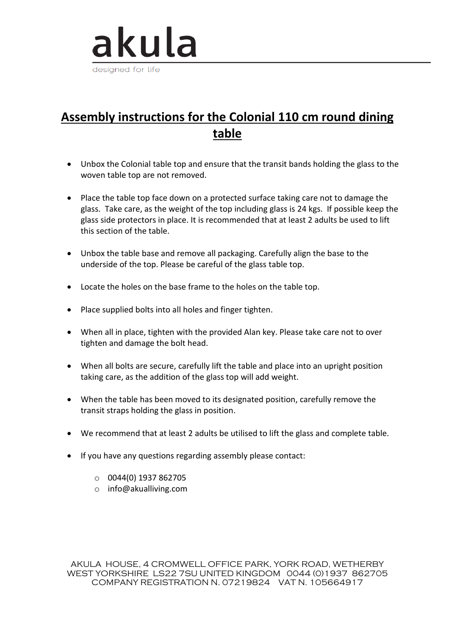

## **Assembly instructions for the Colonial 110 cm round dining table**

- Unbox the Colonial table top and ensure that the transit bands holding the glass to the woven table top are not removed.
- Place the table top face down on a protected surface taking care not to damage the glass. Take care, as the weight of the top including glass is 24 kgs. If possible keep the glass side protectors in place. It is recommended that at least 2 adults be used to lift this section of the table.
- Unbox the table base and remove all packaging. Carefully align the base to the underside of the top. Please be careful of the glass table top.
- Locate the holes on the base frame to the holes on the table top.
- Place supplied bolts into all holes and finger tighten.
- When all in place, tighten with the provided Alan key. Please take care not to over tighten and damage the bolt head.
- When all bolts are secure, carefully lift the table and place into an upright position taking care, as the addition of the glass top will add weight.
- When the table has been moved to its designated position, carefully remove the transit straps holding the glass in position.
- We recommend that at least 2 adults be utilised to lift the glass and complete table.
- If you have any questions regarding assembly please contact:
	- $O$  0044(0) 1937 862705
	- o info@akualliving.com